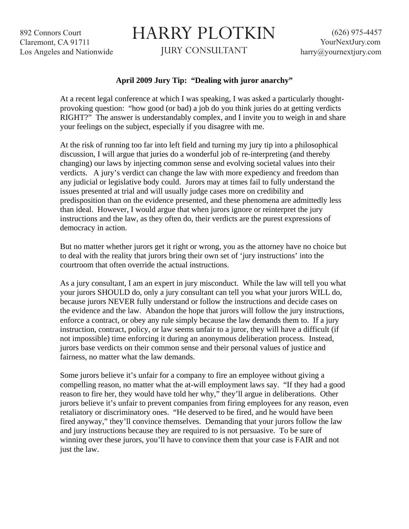892 Connors Court Claremont, CA 91711 Los Angeles and Nationwide

## HARRY PLOTKIN

JURY CONSULTANT

## **April 2009 Jury Tip: "Dealing with juror anarchy"**

At a recent legal conference at which I was speaking, I was asked a particularly thoughtprovoking question: "how good (or bad) a job do you think juries do at getting verdicts RIGHT?" The answer is understandably complex, and I invite you to weigh in and share your feelings on the subject, especially if you disagree with me.

At the risk of running too far into left field and turning my jury tip into a philosophical discussion, I will argue that juries do a wonderful job of re-interpreting (and thereby changing) our laws by injecting common sense and evolving societal values into their verdicts. A jury's verdict can change the law with more expediency and freedom than any judicial or legislative body could. Jurors may at times fail to fully understand the issues presented at trial and will usually judge cases more on credibility and predisposition than on the evidence presented, and these phenomena are admittedly less than ideal. However, I would argue that when jurors ignore or reinterpret the jury instructions and the law, as they often do, their verdicts are the purest expressions of democracy in action.

But no matter whether jurors get it right or wrong, you as the attorney have no choice but to deal with the reality that jurors bring their own set of 'jury instructions' into the courtroom that often override the actual instructions.

As a jury consultant, I am an expert in jury misconduct. While the law will tell you what your jurors SHOULD do, only a jury consultant can tell you what your jurors WILL do, because jurors NEVER fully understand or follow the instructions and decide cases on the evidence and the law. Abandon the hope that jurors will follow the jury instructions, enforce a contract, or obey any rule simply because the law demands them to. If a jury instruction, contract, policy, or law seems unfair to a juror, they will have a difficult (if not impossible) time enforcing it during an anonymous deliberation process. Instead, jurors base verdicts on their common sense and their personal values of justice and fairness, no matter what the law demands.

Some jurors believe it's unfair for a company to fire an employee without giving a compelling reason, no matter what the at-will employment laws say. "If they had a good reason to fire her, they would have told her why," they'll argue in deliberations. Other jurors believe it's unfair to prevent companies from firing employees for any reason, even retaliatory or discriminatory ones. "He deserved to be fired, and he would have been fired anyway," they'll convince themselves. Demanding that your jurors follow the law and jury instructions because they are required to is not persuasive. To be sure of winning over these jurors, you'll have to convince them that your case is FAIR and not just the law.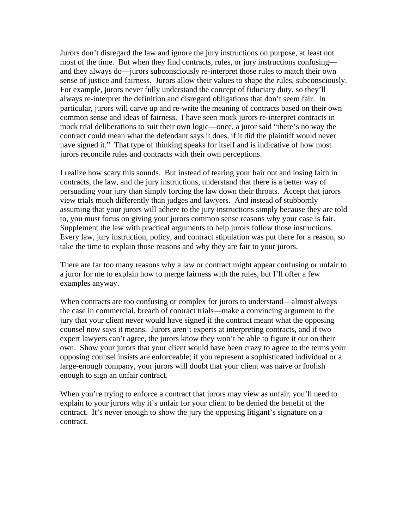Jurors don't disregard the law and ignore the jury instructions on purpose, at least not most of the time. But when they find contracts, rules, or jury instructions confusing and they always do—jurors subconsciously re-interpret those rules to match their own sense of justice and fairness. Jurors allow their values to shape the rules, subconsciously. For example, jurors never fully understand the concept of fiduciary duty, so they'll always re-interpret the definition and disregard obligations that don't seem fair. In particular, jurors will carve up and re-write the meaning of contracts based on their own common sense and ideas of fairness. I have seen mock jurors re-interpret contracts in mock trial deliberations to suit their own logic—once, a juror said "there's no way the contract could mean what the defendant says it does, if it did the plaintiff would never have signed it." That type of thinking speaks for itself and is indicative of how most jurors reconcile rules and contracts with their own perceptions.

I realize how scary this sounds. But instead of tearing your hair out and losing faith in contracts, the law, and the jury instructions, understand that there is a better way of persuading your jury than simply forcing the law down their throats. Accept that jurors view trials much differently than judges and lawyers. And instead of stubbornly assuming that your jurors will adhere to the jury instructions simply because they are told to, you must focus on giving your jurors common sense reasons why your case is fair. Supplement the law with practical arguments to help jurors follow those instructions. Every law, jury instruction, policy, and contract stipulation was put there for a reason, so take the time to explain those reasons and why they are fair to your jurors.

There are far too many reasons why a law or contract might appear confusing or unfair to a juror for me to explain how to merge fairness with the rules, but I'll offer a few examples anyway.

When contracts are too confusing or complex for jurors to understand—almost always the case in commercial, breach of contract trials—make a convincing argument to the jury that your client never would have signed if the contract meant what the opposing counsel now says it means. Jurors aren't experts at interpreting contracts, and if two expert lawyers can't agree, the jurors know they won't be able to figure it out on their own. Show your jurors that your client would have been crazy to agree to the terms your opposing counsel insists are enforceable; if you represent a sophisticated individual or a large-enough company, your jurors will doubt that your client was naïve or foolish enough to sign an unfair contract.

When you're trying to enforce a contract that jurors may view as unfair, you'll need to explain to your jurors why it's unfair for your client to be denied the benefit of the contract. It's never enough to show the jury the opposing litigant's signature on a contract.